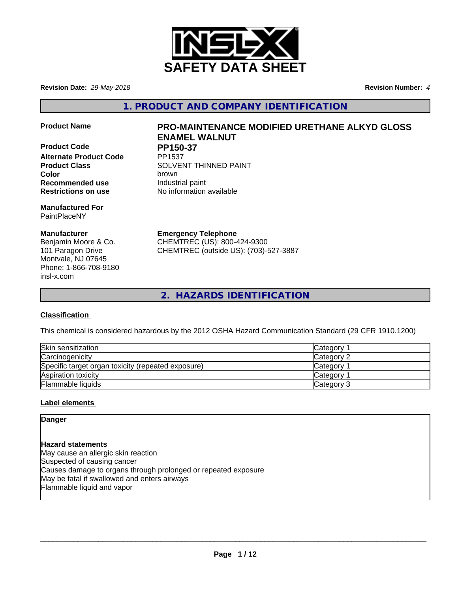

**Revision Date:** *29-May-2018* **Revision Number:** *4*

**1. PRODUCT AND COMPANY IDENTIFICATION**

**Product Code PP150-37 Alternate Product Code Recommended use Industrial paint Restrictions on use** No information available

**Manufactured For** PaintPlaceNY

# **Manufacturer**

Benjamin Moore & Co. 101 Paragon Drive Montvale, NJ 07645 Phone: 1-866-708-9180 insl-x.com

# **Product Name PRO-MAINTENANCE MODIFIED URETHANE ALKYD GLOSS ENAMEL WALNUT**

**Product Class SOLVENT THINNED PAINT Color** brown

**Emergency Telephone**

CHEMTREC (US): 800-424-9300 CHEMTREC (outside US): (703)-527-3887

**2. HAZARDS IDENTIFICATION**

# **Classification**

This chemical is considered hazardous by the 2012 OSHA Hazard Communication Standard (29 CFR 1910.1200)

| Skin sensitization                                 | Category <sup>-</sup> |
|----------------------------------------------------|-----------------------|
| Carcinogenicity                                    | Category 2            |
| Specific target organ toxicity (repeated exposure) | Category              |
| Aspiration toxicity                                | Category              |
| <b>Flammable liquids</b>                           | Category 3            |

# **Label elements**

**Danger**

**Hazard statements** May cause an allergic skin reaction Suspected of causing cancer Causes damage to organs through prolonged or repeated exposure May be fatal if swallowed and enters airways Flammable liquid and vapor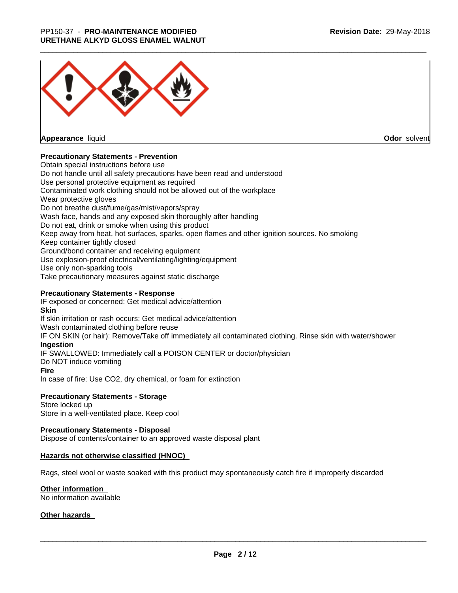

**Appearance** liquid

**Odor** solvent

# **Precautionary Statements - Prevention**

Obtain special instructions before use Do not handle until all safety precautions have been read and understood Use personal protective equipment as required Contaminated work clothing should not be allowed out of the workplace Wear protective gloves Do not breathe dust/fume/gas/mist/vapors/spray Wash face, hands and any exposed skin thoroughly after handling Do not eat, drink or smoke when using this product Keep away from heat, hot surfaces, sparks, open flames and other ignition sources. No smoking Keep container tightly closed Ground/bond container and receiving equipment Use explosion-proof electrical/ventilating/lighting/equipment Use only non-sparking tools Take precautionary measures against static discharge

### **Precautionary Statements - Response**

IF exposed or concerned: Get medical advice/attention **Skin** If skin irritation or rash occurs: Get medical advice/attention Wash contaminated clothing before reuse IF ON SKIN (or hair): Remove/Take off immediately all contaminated clothing. Rinse skin with water/shower **Ingestion** IF SWALLOWED: Immediately call a POISON CENTER or doctor/physician Do NOT induce vomiting **Fire** In case of fire: Use CO2, dry chemical, or foam for extinction

### **Precautionary Statements - Storage**

Store locked up Store in a well-ventilated place. Keep cool

### **Precautionary Statements - Disposal**

Dispose of contents/container to an approved waste disposal plant

### **Hazards not otherwise classified (HNOC)**

Rags, steel wool or waste soaked with this product may spontaneously catch fire if improperly discarded

### **Other information**

No information available

### **Other hazards**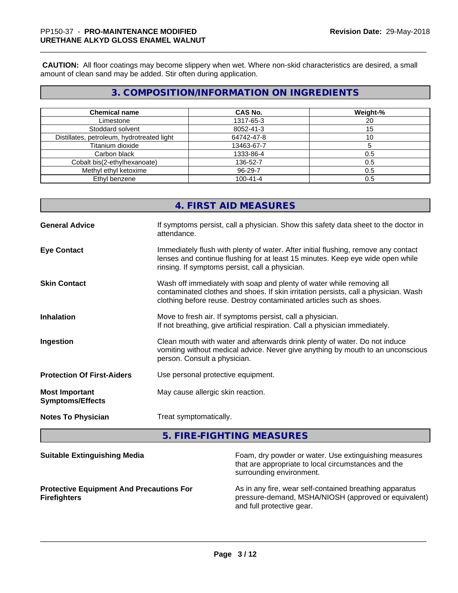**CAUTION:** All floor coatings may become slippery when wet. Where non-skid characteristics are desired, a small amount of clean sand may be added. Stir often during application.

# **3. COMPOSITION/INFORMATION ON INGREDIENTS**

| <b>Chemical name</b>                       | <b>CAS No.</b> | Weight-% |
|--------------------------------------------|----------------|----------|
| Limestone                                  | 1317-65-3      | 20       |
| Stoddard solvent                           | 8052-41-3      | 15       |
| Distillates, petroleum, hydrotreated light | 64742-47-8     |          |
| Titanium dioxide                           | 13463-67-7     |          |
| Carbon black                               | 1333-86-4      | 0.5      |
| Cobalt bis(2-ethylhexanoate)               | 136-52-7       | 0.5      |
| Methyl ethyl ketoxime                      | 96-29-7        | 0.5      |
| Ethyl benzene                              | $100 - 41 - 4$ | 0.5      |

# **4. FIRST AID MEASURES**

| <b>General Advice</b>                            | If symptoms persist, call a physician. Show this safety data sheet to the doctor in<br>attendance.                                                                                                                                  |
|--------------------------------------------------|-------------------------------------------------------------------------------------------------------------------------------------------------------------------------------------------------------------------------------------|
| <b>Eye Contact</b>                               | Immediately flush with plenty of water. After initial flushing, remove any contact<br>lenses and continue flushing for at least 15 minutes. Keep eye wide open while<br>rinsing. If symptoms persist, call a physician.             |
| <b>Skin Contact</b>                              | Wash off immediately with soap and plenty of water while removing all<br>contaminated clothes and shoes. If skin irritation persists, call a physician. Wash<br>clothing before reuse. Destroy contaminated articles such as shoes. |
| <b>Inhalation</b>                                | Move to fresh air. If symptoms persist, call a physician.<br>If not breathing, give artificial respiration. Call a physician immediately.                                                                                           |
| Ingestion                                        | Clean mouth with water and afterwards drink plenty of water. Do not induce<br>vomiting without medical advice. Never give anything by mouth to an unconscious<br>person. Consult a physician.                                       |
| <b>Protection Of First-Aiders</b>                | Use personal protective equipment.                                                                                                                                                                                                  |
| <b>Most Important</b><br><b>Symptoms/Effects</b> | May cause allergic skin reaction.                                                                                                                                                                                                   |
| <b>Notes To Physician</b>                        | Treat symptomatically.                                                                                                                                                                                                              |

**5. FIRE-FIGHTING MEASURES**

| <b>Suitable Extinguishing Media</b>                                    | Foam, dry powder or water. Use extinguishing measures<br>that are appropriate to local circumstances and the<br>surrounding environment.     |
|------------------------------------------------------------------------|----------------------------------------------------------------------------------------------------------------------------------------------|
| <b>Protective Equipment And Precautions For</b><br><b>Firefighters</b> | As in any fire, wear self-contained breathing apparatus<br>pressure-demand, MSHA/NIOSH (approved or equivalent)<br>and full protective gear. |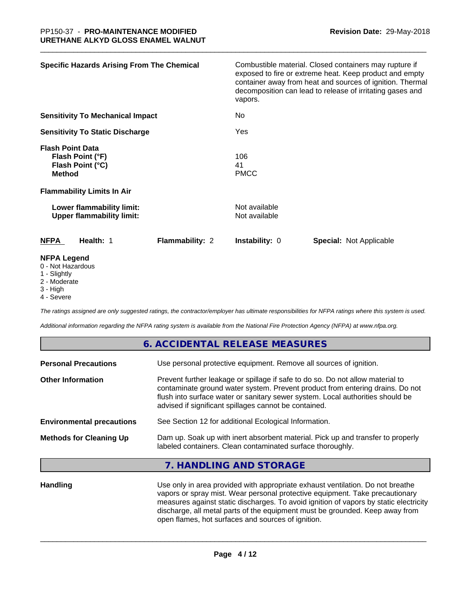| <b>Specific Hazards Arising From The Chemical</b>                                                                     |                 | vapors.                        | Combustible material. Closed containers may rupture if<br>exposed to fire or extreme heat. Keep product and empty<br>container away from heat and sources of ignition. Thermal<br>decomposition can lead to release of irritating gases and |
|-----------------------------------------------------------------------------------------------------------------------|-----------------|--------------------------------|---------------------------------------------------------------------------------------------------------------------------------------------------------------------------------------------------------------------------------------------|
| <b>Sensitivity To Mechanical Impact</b>                                                                               |                 | No                             |                                                                                                                                                                                                                                             |
| <b>Sensitivity To Static Discharge</b>                                                                                |                 | Yes                            |                                                                                                                                                                                                                                             |
| <b>Flash Point Data</b><br>Flash Point (°F)<br>Flash Point (°C)<br><b>Method</b><br><b>Flammability Limits In Air</b> |                 | 106<br>41<br><b>PMCC</b>       |                                                                                                                                                                                                                                             |
| Lower flammability limit:<br><b>Upper flammability limit:</b>                                                         |                 | Not available<br>Not available |                                                                                                                                                                                                                                             |
| NFPA<br>Health: 1                                                                                                     | Flammability: 2 | <b>Instability: 0</b>          | <b>Special: Not Applicable</b>                                                                                                                                                                                                              |
| <b>NFPA Legend</b><br>0 - Not Hazardous<br>1 - Slightly                                                               |                 |                                |                                                                                                                                                                                                                                             |

- 2 Moderate
- 3 High
- 4 Severe

*The ratings assigned are only suggested ratings, the contractor/employer has ultimate responsibilities for NFPA ratings where this system is used.*

*Additional information regarding the NFPA rating system is available from the National Fire Protection Agency (NFPA) at www.nfpa.org.*

|                                  | 6. ACCIDENTAL RELEASE MEASURES                                                                                                                                                                                                                                                                             |
|----------------------------------|------------------------------------------------------------------------------------------------------------------------------------------------------------------------------------------------------------------------------------------------------------------------------------------------------------|
| <b>Personal Precautions</b>      | Use personal protective equipment. Remove all sources of ignition.                                                                                                                                                                                                                                         |
| <b>Other Information</b>         | Prevent further leakage or spillage if safe to do so. Do not allow material to<br>contaminate ground water system. Prevent product from entering drains. Do not<br>flush into surface water or sanitary sewer system. Local authorities should be<br>advised if significant spillages cannot be contained. |
| <b>Environmental precautions</b> | See Section 12 for additional Ecological Information.                                                                                                                                                                                                                                                      |
| <b>Methods for Cleaning Up</b>   | Dam up. Soak up with inert absorbent material. Pick up and transfer to properly<br>labeled containers. Clean contaminated surface thoroughly.                                                                                                                                                              |
|                                  | 7. HANDLING AND STORAGE                                                                                                                                                                                                                                                                                    |
| <b>Handling</b>                  | Use only in area provided with appropriate exhaust ventilation. Do not breathe                                                                                                                                                                                                                             |

vapors or spray mist. Wear personal protective equipment. Take precautionary measures against static discharges. To avoid ignition of vapors by static electricity discharge, all metal parts of the equipment must be grounded. Keep away from open flames, hot surfaces and sources of ignition.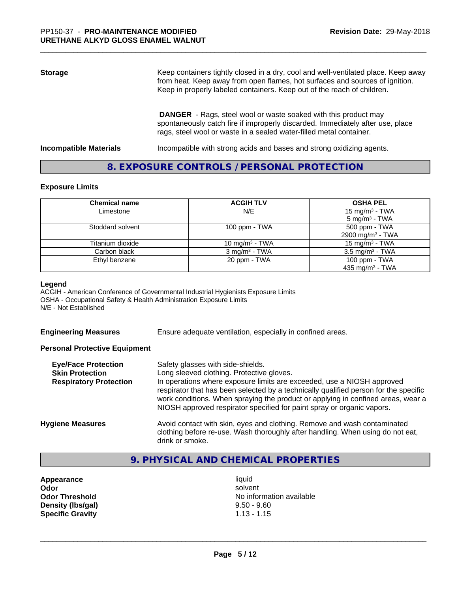# **Storage** Keep containers tightly closed in a dry, cool and well-ventilated place. Keep away from heat. Keep away from open flames, hot surfaces and sources of ignition. Keep in properly labeled containers. Keep out of the reach of children.  **DANGER** - Rags, steel wool or waste soaked with this product may

spontaneously catch fire if improperly discarded. Immediately after use, place rags, steel wool or waste in a sealed water-filled metal container.

**Incompatible Materials Incompatible with strong acids and bases and strong oxidizing agents.** 

# **8. EXPOSURE CONTROLS / PERSONAL PROTECTION**

### **Exposure Limits**

| <b>Chemical name</b> | <b>ACGIH TLV</b>         | <b>OSHA PEL</b>                                         |
|----------------------|--------------------------|---------------------------------------------------------|
| Limestone            | N/E                      | 15 mg/m <sup>3</sup> - TWA<br>5 mg/m <sup>3</sup> - TWA |
| Stoddard solvent     | 100 ppm $-$ TWA          | 500 ppm - TWA                                           |
|                      |                          | 2900 mg/m <sup>3</sup> - TWA                            |
| Titanium dioxide     | 10 mg/m $3$ - TWA        | 15 mg/m <sup>3</sup> - TWA                              |
| Carbon black         | $3 \text{ mg/m}^3$ - TWA | $3.5 \text{ mg/m}^3$ - TWA                              |
| Ethyl benzene        | 20 ppm - TWA             | 100 ppm - TWA                                           |
|                      |                          | 435 mg/m <sup>3</sup> - TWA                             |

### **Legend**

ACGIH - American Conference of Governmental Industrial Hygienists Exposure Limits OSHA - Occupational Safety & Health Administration Exposure Limits N/E - Not Established

**Engineering Measures** Ensure adequate ventilation, especially in confined areas.

### **Personal Protective Equipment**

| <b>Eye/Face Protection</b><br><b>Skin Protection</b><br><b>Respiratory Protection</b> | Safety glasses with side-shields.<br>Long sleeved clothing. Protective gloves.<br>In operations where exposure limits are exceeded, use a NIOSH approved<br>respirator that has been selected by a technically qualified person for the specific<br>work conditions. When spraying the product or applying in confined areas, wear a<br>NIOSH approved respirator specified for paint spray or organic vapors. |
|---------------------------------------------------------------------------------------|----------------------------------------------------------------------------------------------------------------------------------------------------------------------------------------------------------------------------------------------------------------------------------------------------------------------------------------------------------------------------------------------------------------|
| <b>Hygiene Measures</b>                                                               | Avoid contact with skin, eyes and clothing. Remove and wash contaminated<br>clothing before re-use. Wash thoroughly after handling. When using do not eat,<br>drink or smoke.                                                                                                                                                                                                                                  |

# **9. PHYSICAL AND CHEMICAL PROPERTIES**

**Appearance** liquid **Density (lbs/gal)** 9.50 - 9.60<br> **Specific Gravity** 1.13 - 1.15 **Specific Gravity** 

**Odor** solvent **Odor Threshold** No information available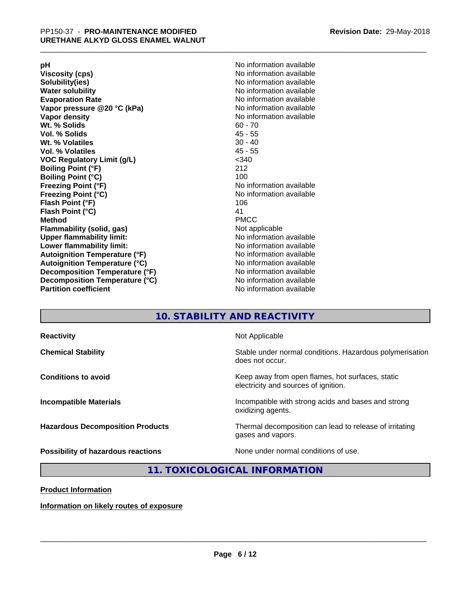**Viscosity (cps)** <br> **Viscosity (cps)** No information available<br>
No information available<br>
No information available **Water solubility**<br> **Evaporation Rate**<br> **Evaporation Rate**<br> **Evaporation Rate Vapor** pressure @20 °C (kPa) **Vapor density No information available Wt. % Solids** 60 - 70<br> **Vol. % Solids** 60 - 70<br> **Vol. % Solids** 65 **Vol. % Solids Wt.** % Volatiles 30 - 40 **Vol. % Volatiles** 45 - 55 **VOC Regulatory Limit (g/L)** <340 **Boiling Point (°F)** 212 **Boiling Point (°C)**<br>Freezing Point (°F) **Freezing Point (°C)** No information available **Flash Point (°F)** 106 **Flash Point (°C)** 41 **Method** PMCC **Flammability (solid, gas)** Not applicable **Upper flammability limit:** No information available **Lower flammability limit:** No information available **Autoignition Temperature (°F)** No information available **Autoignition Temperature (°C)** No information available **Decomposition Temperature (°F)**<br> **Decomposition Temperature (°C)** No information available<br>
No information available **Decomposition Temperature (°C)**<br>Partition coefficient

**pH**<br>
Viscosity (cps) The Contract of the Contract of the Viscosity (cps) and Viscosity (cps) **Solubility(ies)** No information available No information available<br>No information available **No information available No information available** 

# **10. STABILITY AND REACTIVITY**

| <b>Reactivity</b>                       | Not Applicable                                                                           |
|-----------------------------------------|------------------------------------------------------------------------------------------|
| <b>Chemical Stability</b>               | Stable under normal conditions. Hazardous polymerisation<br>does not occur.              |
| <b>Conditions to avoid</b>              | Keep away from open flames, hot surfaces, static<br>electricity and sources of ignition. |
| <b>Incompatible Materials</b>           | Incompatible with strong acids and bases and strong<br>oxidizing agents.                 |
| <b>Hazardous Decomposition Products</b> | Thermal decomposition can lead to release of irritating<br>gases and vapors.             |
| Possibility of hazardous reactions      | None under normal conditions of use.                                                     |

# **11. TOXICOLOGICAL INFORMATION**

### **Product Information**

**Information on likely routes of exposure**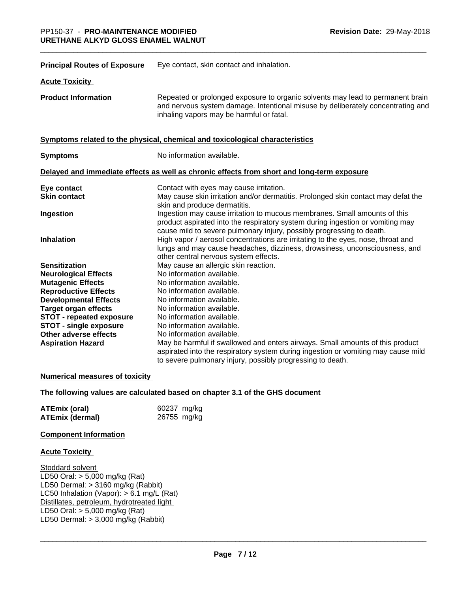| <b>Principal Routes of Exposure</b> | Eye contact, skin contact and inhalation.                                                                                                                                                                                                                                        |
|-------------------------------------|----------------------------------------------------------------------------------------------------------------------------------------------------------------------------------------------------------------------------------------------------------------------------------|
| <b>Acute Toxicity</b>               |                                                                                                                                                                                                                                                                                  |
| <b>Product Information</b>          | Repeated or prolonged exposure to organic solvents may lead to permanent brain<br>and nervous system damage. Intentional misuse by deliberately concentrating and<br>inhaling vapors may be harmful or fatal.                                                                    |
|                                     | Symptoms related to the physical, chemical and toxicological characteristics                                                                                                                                                                                                     |
| <b>Symptoms</b>                     | No information available.                                                                                                                                                                                                                                                        |
|                                     | Delayed and immediate effects as well as chronic effects from short and long-term exposure                                                                                                                                                                                       |
| Eye contact<br><b>Skin contact</b>  | Contact with eyes may cause irritation.<br>May cause skin irritation and/or dermatitis. Prolonged skin contact may defat the                                                                                                                                                     |
| Ingestion                           | skin and produce dermatitis.<br>Ingestion may cause irritation to mucous membranes. Small amounts of this<br>product aspirated into the respiratory system during ingestion or vomiting may                                                                                      |
| <b>Inhalation</b>                   | cause mild to severe pulmonary injury, possibly progressing to death.<br>High vapor / aerosol concentrations are irritating to the eyes, nose, throat and<br>lungs and may cause headaches, dizziness, drowsiness, unconsciousness, and<br>other central nervous system effects. |
| <b>Sensitization</b>                | May cause an allergic skin reaction.                                                                                                                                                                                                                                             |
| <b>Neurological Effects</b>         | No information available.                                                                                                                                                                                                                                                        |
| <b>Mutagenic Effects</b>            | No information available.                                                                                                                                                                                                                                                        |
| <b>Reproductive Effects</b>         | No information available.                                                                                                                                                                                                                                                        |
| <b>Developmental Effects</b>        | No information available.                                                                                                                                                                                                                                                        |
| <b>Target organ effects</b>         | No information available.                                                                                                                                                                                                                                                        |
| <b>STOT - repeated exposure</b>     | No information available.                                                                                                                                                                                                                                                        |
| <b>STOT - single exposure</b>       | No information available.                                                                                                                                                                                                                                                        |
| Other adverse effects               | No information available.                                                                                                                                                                                                                                                        |
| <b>Aspiration Hazard</b>            | May be harmful if swallowed and enters airways. Small amounts of this product<br>aspirated into the respiratory system during ingestion or vomiting may cause mild<br>to severe pulmonary injury, possibly progressing to death.                                                 |

### **Numerical measures of toxicity**

### **The following values are calculated based on chapter 3.1 of the GHS document**

| <b>ATEmix (oral)</b>   | 60237 mg/kg |
|------------------------|-------------|
| <b>ATEmix (dermal)</b> | 26755 mg/kg |

### **Component Information**

### **Acute Toxicity**

Stoddard solvent LD50 Oral: > 5,000 mg/kg (Rat) LD50 Dermal: > 3160 mg/kg (Rabbit) LC50 Inhalation (Vapor): > 6.1 mg/L (Rat) Distillates, petroleum, hydrotreated light LD50 Oral: > 5,000 mg/kg (Rat) LD50 Dermal:  $> 3,000$  mg/kg (Rabbit)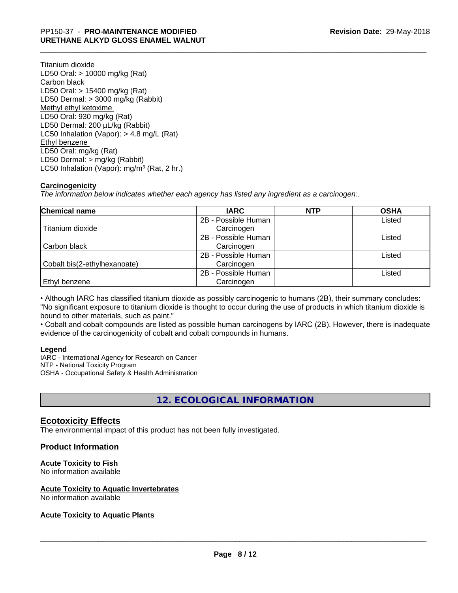Titanium dioxide LD50 Oral: > 10000 mg/kg (Rat) Carbon black LD50 Oral: > 15400 mg/kg (Rat) LD50 Dermal: > 3000 mg/kg (Rabbit) Methyl ethyl ketoxime LD50 Oral: 930 mg/kg (Rat) LD50 Dermal: 200 µL/kg (Rabbit) LC50 Inhalation (Vapor): > 4.8 mg/L (Rat) Ethyl benzene LD50 Oral: mg/kg (Rat) LD50 Dermal: > mg/kg (Rabbit) LC50 Inhalation (Vapor): mg/m<sup>3</sup> (Rat, 2 hr.)

# **Carcinogenicity**

*The information below indicateswhether each agency has listed any ingredient as a carcinogen:.*

| Chemical name                | <b>IARC</b>         | <b>NTP</b> | <b>OSHA</b> |
|------------------------------|---------------------|------------|-------------|
|                              | 2B - Possible Human |            | Listed      |
| Titanium dioxide             | Carcinogen          |            |             |
|                              | 2B - Possible Human |            | Listed      |
| Carbon black                 | Carcinogen          |            |             |
|                              | 2B - Possible Human |            | Listed      |
| Cobalt bis(2-ethylhexanoate) | Carcinogen          |            |             |
|                              | 2B - Possible Human |            | Listed      |
| <b>Ethyl benzene</b>         | Carcinogen          |            |             |

• Although IARC has classified titanium dioxide as possibly carcinogenic to humans (2B), their summary concludes: "No significant exposure to titanium dioxide is thought to occur during the use of products in which titanium dioxide is bound to other materials, such as paint."

• Cobalt and cobalt compounds are listed as possible human carcinogens by IARC (2B). However, there is inadequate evidence of the carcinogenicity of cobalt and cobalt compounds in humans.

### **Legend**

IARC - International Agency for Research on Cancer NTP - National Toxicity Program OSHA - Occupational Safety & Health Administration

# **12. ECOLOGICAL INFORMATION**

# **Ecotoxicity Effects**

The environmental impact of this product has not been fully investigated.

# **Product Information**

# **Acute Toxicity to Fish**

No information available

# **Acute Toxicity to Aquatic Invertebrates**

No information available

# **Acute Toxicity to Aquatic Plants**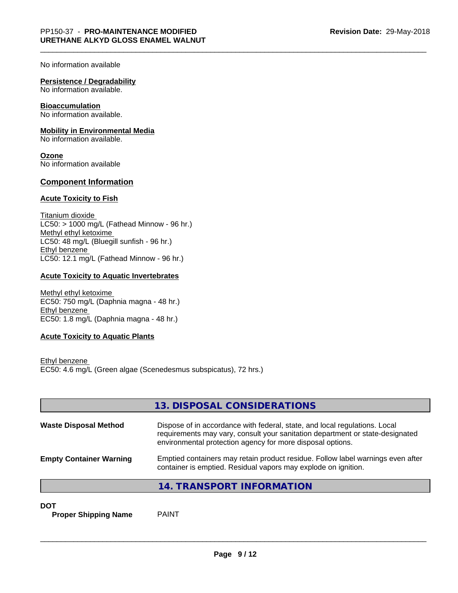No information available

### **Persistence / Degradability**

No information available.

### **Bioaccumulation**

No information available.

### **Mobility in Environmental Media**

No information available.

**Ozone** No information available

### **Component Information**

### **Acute Toxicity to Fish**

Titanium dioxide  $LC50:$  > 1000 mg/L (Fathead Minnow - 96 hr.) Methyl ethyl ketoxime LC50: 48 mg/L (Bluegill sunfish - 96 hr.) Ethyl benzene LC50: 12.1 mg/L (Fathead Minnow - 96 hr.)

### **Acute Toxicity to Aquatic Invertebrates**

Methyl ethyl ketoxime EC50: 750 mg/L (Daphnia magna - 48 hr.) Ethyl benzene EC50: 1.8 mg/L (Daphnia magna - 48 hr.)

### **Acute Toxicity to Aquatic Plants**

Ethyl benzene EC50: 4.6 mg/L (Green algae (Scenedesmus subspicatus), 72 hrs.)

|                                | 13. DISPOSAL CONSIDERATIONS                                                                                                                                                                                               |
|--------------------------------|---------------------------------------------------------------------------------------------------------------------------------------------------------------------------------------------------------------------------|
| <b>Waste Disposal Method</b>   | Dispose of in accordance with federal, state, and local regulations. Local<br>requirements may vary, consult your sanitation department or state-designated<br>environmental protection agency for more disposal options. |
| <b>Empty Container Warning</b> | Emptied containers may retain product residue. Follow label warnings even after<br>container is emptied. Residual vapors may explode on ignition.                                                                         |
|                                | 14. TRANSPORT INFORMATION                                                                                                                                                                                                 |

**DOT**

**Proper Shipping Name** PAINT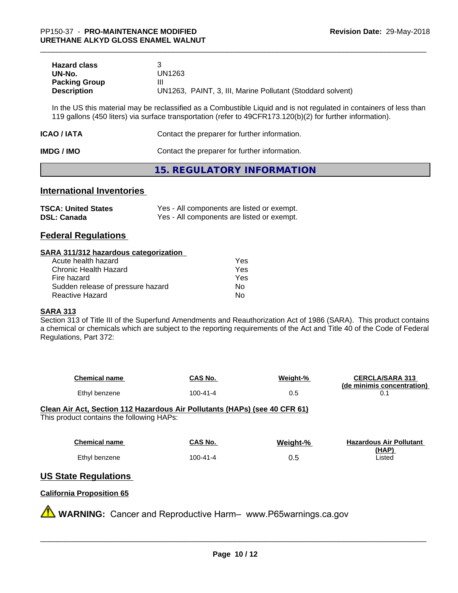| <b>Hazard class</b>  |                                                            |
|----------------------|------------------------------------------------------------|
| UN-No.               | UN1263                                                     |
| <b>Packing Group</b> |                                                            |
| <b>Description</b>   | UN1263, PAINT, 3, III, Marine Pollutant (Stoddard solvent) |

In the US this material may be reclassified as a Combustible Liquid and is not regulated in containers of less than 119 gallons (450 liters) via surface transportation (refer to 49CFR173.120(b)(2) for further information).

| ICAO / IATA       | Contact the preparer for further information. |
|-------------------|-----------------------------------------------|
| <b>IMDG / IMO</b> | Contact the preparer for further information. |

# **15. REGULATORY INFORMATION**

# **International Inventories**

| <b>TSCA: United States</b> | Yes - All components are listed or exempt. |
|----------------------------|--------------------------------------------|
| <b>DSL: Canada</b>         | Yes - All components are listed or exempt. |

# **Federal Regulations**

### **SARA 311/312 hazardous categorization**

| Acute health hazard               | Yes |  |
|-----------------------------------|-----|--|
| Chronic Health Hazard             | Yes |  |
| Fire hazard                       | Yes |  |
| Sudden release of pressure hazard | Nο  |  |
| Reactive Hazard                   | Nο  |  |

### **SARA 313**

Section 313 of Title III of the Superfund Amendments and Reauthorization Act of 1986 (SARA). This product contains a chemical or chemicals which are subject to the reporting requirements of the Act and Title 40 of the Code of Federal Regulations, Part 372:

| <b>Chemical name</b> | CAS No.  | Weight-% | <b>CERCLA/SARA 313</b><br>(de minimis concentration) |
|----------------------|----------|----------|------------------------------------------------------|
| Ethyl benzene        | 100-41-4 | U.J      |                                                      |

**Clean Air Act,Section 112 Hazardous Air Pollutants (HAPs) (see 40 CFR 61)** This product contains the following HAPs:

| <b>Chemical name</b> | CAS No.  | Weight-% | <b>Hazardous Air Pollutant</b> |
|----------------------|----------|----------|--------------------------------|
|                      |          |          | (HAP)                          |
| Ethyl benzene        | 100-41-4 | 0.5      | Listed                         |

# **US State Regulations**

### **California Proposition 65**

**AVIMARNING:** Cancer and Reproductive Harm– www.P65warnings.ca.gov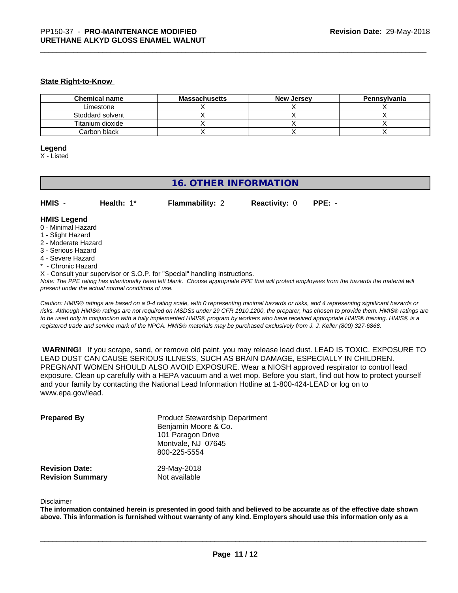### **State Right-to-Know**

| <b>Chemical name</b> | <b>Massachusetts</b> | <b>New Jersey</b> | Pennsylvania |
|----------------------|----------------------|-------------------|--------------|
| Limestone            |                      |                   |              |
| Stoddard solvent     |                      |                   |              |
| Titanium dioxide     |                      |                   |              |
| Carbon black         |                      |                   |              |

### **Legend**

X - Listed

# **16. OTHER INFORMATION**

| HMIS | Health: $1^*$ | <b>Flammability: 2</b> | <b>Reactivity: 0 PPE: -</b> |  |
|------|---------------|------------------------|-----------------------------|--|
|------|---------------|------------------------|-----------------------------|--|

# **HMIS Legend**

- 0 Minimal Hazard
- 1 Slight Hazard
- 2 Moderate Hazard
- 3 Serious Hazard
- 4 Severe Hazard
- \* Chronic Hazard
- X Consult your supervisor or S.O.P. for "Special" handling instructions.

*Note: The PPE rating has intentionally been left blank. Choose appropriate PPE that will protect employees from the hazards the material will present under the actual normal conditions of use.*

*Caution: HMISÒ ratings are based on a 0-4 rating scale, with 0 representing minimal hazards or risks, and 4 representing significant hazards or risks. Although HMISÒ ratings are not required on MSDSs under 29 CFR 1910.1200, the preparer, has chosen to provide them. HMISÒ ratings are to be used only in conjunction with a fully implemented HMISÒ program by workers who have received appropriate HMISÒ training. HMISÒ is a registered trade and service mark of the NPCA. HMISÒ materials may be purchased exclusively from J. J. Keller (800) 327-6868.*

 **WARNING!** If you scrape, sand, or remove old paint, you may release lead dust. LEAD IS TOXIC. EXPOSURE TO LEAD DUST CAN CAUSE SERIOUS ILLNESS, SUCH AS BRAIN DAMAGE, ESPECIALLY IN CHILDREN. PREGNANT WOMEN SHOULD ALSO AVOID EXPOSURE. Wear a NIOSH approved respirator to control lead exposure. Clean up carefully with a HEPA vacuum and a wet mop. Before you start, find out how to protect yourself and your family by contacting the National Lead Information Hotline at 1-800-424-LEAD or log on to www.epa.gov/lead.

| <b>Prepared By</b>      | <b>Product Stewardship Department</b><br>Benjamin Moore & Co.<br>101 Paragon Drive<br>Montvale, NJ 07645<br>800-225-5554 |
|-------------------------|--------------------------------------------------------------------------------------------------------------------------|
| <b>Revision Date:</b>   | 29-May-2018                                                                                                              |
| <b>Revision Summary</b> | Not available                                                                                                            |

#### Disclaimer

The information contained herein is presented in good faith and believed to be accurate as of the effective date shown above. This information is furnished without warranty of any kind. Employers should use this information only as a